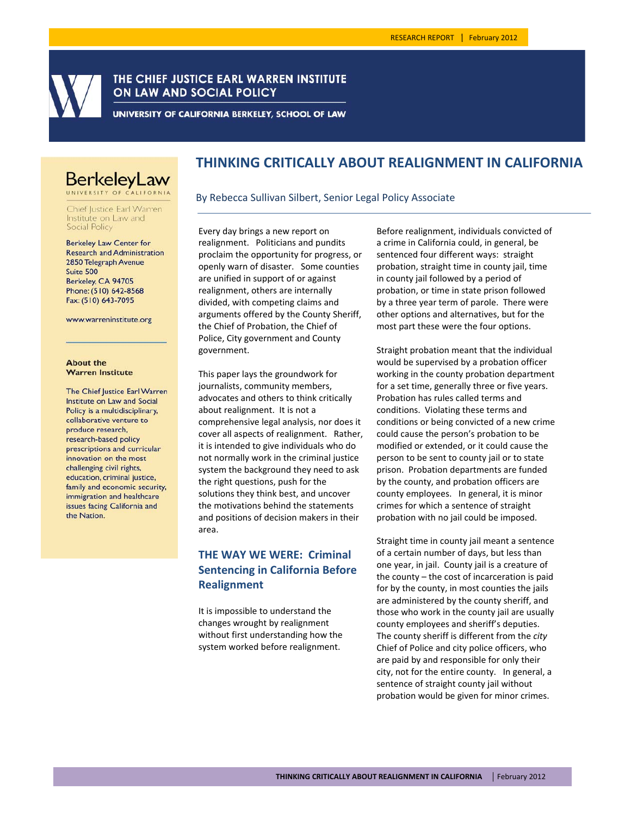

## THE CHIEF JUSTICE EARL WARREN INSTITUTE ON LAW AND SOCIAL POLICY

UNIVERSITY OF CALIFORNIA BERKELEY, SCHOOL OF LAW

# **BerkeleyLaw**

Chief Justice Earl Warren Institute on Law and **Social Policy** 

**Berkeley Law Center for Research and Administration** 2850 Telegraph Avenue Suite 500 Berkeley, CA 94705 Phone: (510) 642-8568 Fax: (510) 643-7095

www.warreninstitute.org

#### **About the Warren Institute**

The Chief Justice Earl Warren Institute on Law and Social Policy is a multidisciplinary, collaborative venture to produce research, research-based policy prescriptions and curricular innovation on the most challenging civil rights, education, criminal justice, family and economic security. immigration and healthcare issues facing California and the Nation.

# **THINKING CRITICALLY ABOUT REALIGNMENT IN CALIFORNIA**

#### By Rebecca Sullivan Silbert, Senior Legal Policy Associate

Every day brings a new report on realignment. Politicians and pundits proclaim the opportunity for progress, or openly warn of disaster. Some counties are unified in support of or against realignment, others are internally divided, with competing claims and arguments offered by the County Sheriff, the Chief of Probation, the Chief of Police, City government and County government.

This paper lays the groundwork for journalists, community members, advocates and others to think critically about realignment. It is not a comprehensive legal analysis, nor does it cover all aspects of realignment. Rather, it is intended to give individuals who do not normally work in the criminal justice system the background they need to ask the right questions, push for the solutions they think best, and uncover the motivations behind the statements and positions of decision makers in their area.

# **THE WAY WE WERE: Criminal Sentencing in California Before Realignment**

It is impossible to understand the changes wrought by realignment without first understanding how the system worked before realignment.

Before realignment, individuals convicted of a crime in California could, in general, be sentenced four different ways: straight probation, straight time in county jail, time in county jail followed by a period of probation, or time in state prison followed by a three year term of parole. There were other options and alternatives, but for the most part these were the four options.

Straight probation meant that the individual would be supervised by a probation officer working in the county probation department for a set time, generally three or five years. Probation has rules called terms and conditions. Violating these terms and conditions or being convicted of a new crime could cause the person's probation to be modified or extended, or it could cause the person to be sent to county jail or to state prison. Probation departments are funded by the county, and probation officers are county employees. In general, it is minor crimes for which a sentence of straight probation with no jail could be imposed.

Straight time in county jail meant a sentence of a certain number of days, but less than one year, in jail. County jail is a creature of the county – the cost of incarceration is paid for by the county, in most counties the jails are administered by the county sheriff, and those who work in the county jail are usually county employees and sheriff's deputies. The county sheriff is different from the *city* Chief of Police and city police officers, who are paid by and responsible for only their city, not for the entire county. In general, a sentence of straight county jail without probation would be given for minor crimes.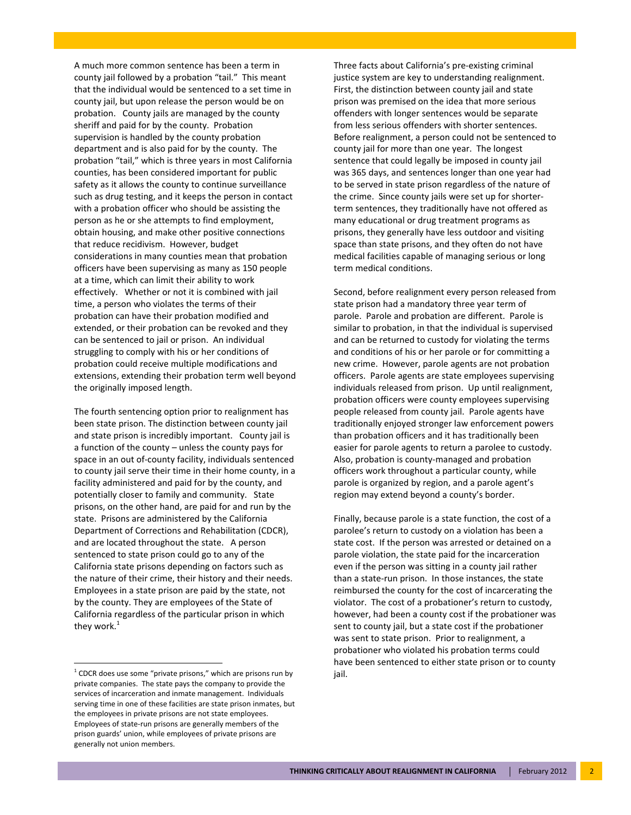A much more common sentence has been a term in county jail followed by a probation "tail." This meant that the individual would be sentenced to a set time in county jail, but upon release the person would be on probation. County jails are managed by the county sheriff and paid for by the county. Probation supervision is handled by the county probation department and is also paid for by the county. The probation "tail," which is three years in most California counties, has been considered important for public safety as it allows the county to continue surveillance such as drug testing, and it keeps the person in contact with a probation officer who should be assisting the person as he or she attempts to find employment, obtain housing, and make other positive connections that reduce recidivism. However, budget considerations in many counties mean that probation officers have been supervising as many as 150 people at a time, which can limit their ability to work effectively. Whether or not it is combined with jail time, a person who violates the terms of their probation can have their probation modified and extended, or their probation can be revoked and they can be sentenced to jail or prison. An individual struggling to comply with his or her conditions of probation could receive multiple modifications and extensions, extending their probation term well beyond the originally imposed length.

The fourth sentencing option prior to realignment has been state prison. The distinction between county jail and state prison is incredibly important. County jail is a function of the county – unless the county pays for space in an out of‐county facility, individuals sentenced to county jail serve their time in their home county, in a facility administered and paid for by the county, and potentially closer to family and community. State prisons, on the other hand, are paid for and run by the state. Prisons are administered by the California Department of Corrections and Rehabilitation (CDCR), and are located throughout the state. A person sentenced to state prison could go to any of the California state prisons depending on factors such as the nature of their crime, their history and their needs. Employees in a state prison are paid by the state, not by the county. They are employees of the State of California regardless of the particular prison in which they work. $<sup>1</sup>$ </sup>

Three facts about California's pre‐existing criminal justice system are key to understanding realignment. First, the distinction between county jail and state prison was premised on the idea that more serious offenders with longer sentences would be separate from less serious offenders with shorter sentences. Before realignment, a person could not be sentenced to county jail for more than one year. The longest sentence that could legally be imposed in county jail was 365 days, and sentences longer than one year had to be served in state prison regardless of the nature of the crime. Since county jails were set up for shorter‐ term sentences, they traditionally have not offered as many educational or drug treatment programs as prisons, they generally have less outdoor and visiting space than state prisons, and they often do not have medical facilities capable of managing serious or long term medical conditions.

Second, before realignment every person released from state prison had a mandatory three year term of parole. Parole and probation are different. Parole is similar to probation, in that the individual is supervised and can be returned to custody for violating the terms and conditions of his or her parole or for committing a new crime. However, parole agents are not probation officers. Parole agents are state employees supervising individuals released from prison. Up until realignment, probation officers were county employees supervising people released from county jail. Parole agents have traditionally enjoyed stronger law enforcement powers than probation officers and it has traditionally been easier for parole agents to return a parolee to custody. Also, probation is county‐managed and probation officers work throughout a particular county, while parole is organized by region, and a parole agent's region may extend beyond a county's border.

Finally, because parole is a state function, the cost of a parolee's return to custody on a violation has been a state cost. If the person was arrested or detained on a parole violation, the state paid for the incarceration even if the person was sitting in a county jail rather than a state‐run prison. In those instances, the state reimbursed the county for the cost of incarcerating the violator. The cost of a probationer's return to custody, however, had been a county cost if the probationer was sent to county jail, but a state cost if the probationer was sent to state prison. Prior to realignment, a probationer who violated his probation terms could have been sentenced to either state prison or to county jail.

 $1$  CDCR does use some "private prisons," which are prisons run by private companies. The state pays the company to provide the services of incarceration and inmate management. Individuals serving time in one of these facilities are state prison inmates, but the employees in private prisons are not state employees. Employees of state‐run prisons are generally members of the prison guards' union, while employees of private prisons are generally not union members.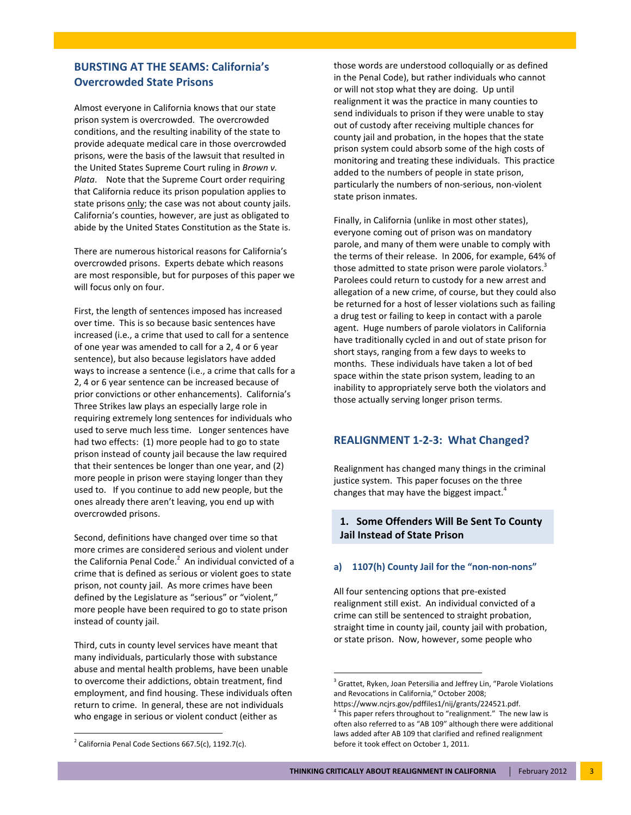# **BURSTING AT THE SEAMS: California's Overcrowded State Prisons**

Almost everyone in California knows that our state prison system is overcrowded. The overcrowded conditions, and the resulting inability of the state to provide adequate medical care in those overcrowded prisons, were the basis of the lawsuit that resulted in the United States Supreme Court ruling in *Brown v. Plata*. Note that the Supreme Court order requiring that California reduce its prison population applies to state prisons only; the case was not about county jails. California's counties, however, are just as obligated to abide by the United States Constitution as the State is.

There are numerous historical reasons for California's overcrowded prisons. Experts debate which reasons are most responsible, but for purposes of this paper we will focus only on four.

First, the length of sentences imposed has increased over time. This is so because basic sentences have increased (i.e., a crime that used to call for a sentence of one year was amended to call for a 2, 4 or 6 year sentence), but also because legislators have added ways to increase a sentence (i.e., a crime that calls for a 2, 4 or 6 year sentence can be increased because of prior convictions or other enhancements). California's Three Strikes law plays an especially large role in requiring extremely long sentences for individuals who used to serve much less time. Longer sentences have had two effects: (1) more people had to go to state prison instead of county jail because the law required that their sentences be longer than one year, and (2) more people in prison were staying longer than they used to. If you continue to add new people, but the ones already there aren't leaving, you end up with overcrowded prisons.

Second, definitions have changed over time so that more crimes are considered serious and violent under the California Penal Code. $^2$  An individual convicted of a crime that is defined as serious or violent goes to state prison, not county jail. As more crimes have been defined by the Legislature as "serious" or "violent," more people have been required to go to state prison instead of county jail.

Third, cuts in county level services have meant that many individuals, particularly those with substance abuse and mental health problems, have been unable to overcome their addictions, obtain treatment, find employment, and find housing. These individuals often return to crime. In general, these are not individuals who engage in serious or violent conduct (either as

those words are understood colloquially or as defined in the Penal Code), but rather individuals who cannot or will not stop what they are doing. Up until realignment it was the practice in many counties to send individuals to prison if they were unable to stay out of custody after receiving multiple chances for county jail and probation, in the hopes that the state prison system could absorb some of the high costs of monitoring and treating these individuals. This practice added to the numbers of people in state prison, particularly the numbers of non‐serious, non‐violent state prison inmates.

Finally, in California (unlike in most other states), everyone coming out of prison was on mandatory parole, and many of them were unable to comply with the terms of their release. In 2006, for example, 64% of those admitted to state prison were parole violators.<sup>3</sup> Parolees could return to custody for a new arrest and allegation of a new crime, of course, but they could also be returned for a host of lesser violations such as failing a drug test or failing to keep in contact with a parole agent. Huge numbers of parole violators in California have traditionally cycled in and out of state prison for short stays, ranging from a few days to weeks to months. These individuals have taken a lot of bed space within the state prison system, leading to an inability to appropriately serve both the violators and those actually serving longer prison terms.

#### **REALIGNMENT 1‐2‐3: What Changed?**

Realignment has changed many things in the criminal justice system. This paper focuses on the three changes that may have the biggest impact.<sup>4</sup>

### **1. Some Offenders Will Be Sent To County Jail Instead of State Prison**

#### **a) 1107(h) County Jail for the "non‐non‐nons"**

All four sentencing options that pre‐existed realignment still exist. An individual convicted of a crime can still be sentenced to straight probation, straight time in county jail, county jail with probation, or state prison. Now, however, some people who

<sup>&</sup>lt;sup>3</sup> Grattet, Ryken, Joan Petersilia and Jeffrey Lin, "Parole Violations and Revocations in California," October 2008;

https://www.ncjrs.gov/pdffiles1/nij/grants/224521.pdf.  $4$  This paper refers throughout to "realignment." The new law is often also referred to as "AB 109" although there were additional laws added after AB 109 that clarified and refined realignment before it took effect on October 1, 2011.

 $2$  California Penal Code Sections 667.5(c), 1192.7(c).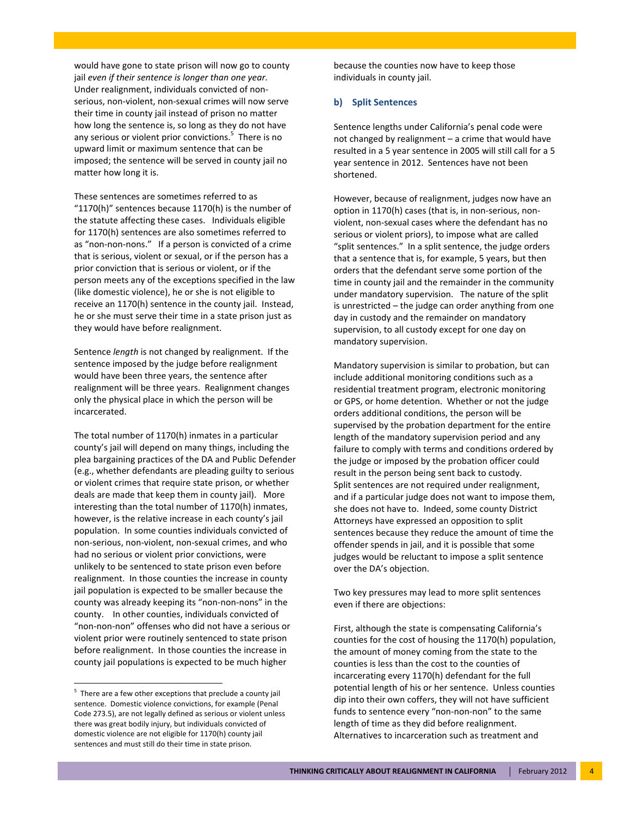would have gone to state prison will now go to county jail *even if their sentence is longer than one year.* Under realignment, individuals convicted of non‐ serious, non‐violent, non‐sexual crimes will now serve their time in county jail instead of prison no matter how long the sentence is, so long as they do not have any serious or violent prior convictions.<sup>5</sup> There is no upward limit or maximum sentence that can be imposed; the sentence will be served in county jail no matter how long it is.

These sentences are sometimes referred to as "1170(h)" sentences because 1170(h) is the number of the statute affecting these cases. Individuals eligible for 1170(h) sentences are also sometimes referred to as "non‐non‐nons." If a person is convicted of a crime that is serious, violent or sexual, or if the person has a prior conviction that is serious or violent, or if the person meets any of the exceptions specified in the law (like domestic violence), he or she is not eligible to receive an 1170(h) sentence in the county jail. Instead, he or she must serve their time in a state prison just as they would have before realignment.

Sentence *length* is not changed by realignment. If the sentence imposed by the judge before realignment would have been three years, the sentence after realignment will be three years. Realignment changes only the physical place in which the person will be incarcerated.

The total number of 1170(h) inmates in a particular county's jail will depend on many things, including the plea bargaining practices of the DA and Public Defender (e.g., whether defendants are pleading guilty to serious or violent crimes that require state prison, or whether deals are made that keep them in county jail). More interesting than the total number of 1170(h) inmates, however, is the relative increase in each county's jail population. In some counties individuals convicted of non‐serious, non‐violent, non‐sexual crimes, and who had no serious or violent prior convictions, were unlikely to be sentenced to state prison even before realignment. In those counties the increase in county jail population is expected to be smaller because the county was already keeping its "non‐non‐nons" in the county. In other counties, individuals convicted of "non‐non‐non" offenses who did not have a serious or violent prior were routinely sentenced to state prison before realignment. In those counties the increase in county jail populations is expected to be much higher

because the counties now have to keep those individuals in county jail.

#### **b) Split Sentences**

Sentence lengths under California's penal code were not changed by realignment – a crime that would have resulted in a 5 year sentence in 2005 will still call for a 5 year sentence in 2012. Sentences have not been shortened.

However, because of realignment, judges now have an option in 1170(h) cases (that is, in non‐serious, non‐ violent, non‐sexual cases where the defendant has no serious or violent priors), to impose what are called "split sentences." In a split sentence, the judge orders that a sentence that is, for example, 5 years, but then orders that the defendant serve some portion of the time in county jail and the remainder in the community under mandatory supervision. The nature of the split is unrestricted – the judge can order anything from one day in custody and the remainder on mandatory supervision, to all custody except for one day on mandatory supervision.

Mandatory supervision is similar to probation, but can include additional monitoring conditions such as a residential treatment program, electronic monitoring or GPS, or home detention. Whether or not the judge orders additional conditions, the person will be supervised by the probation department for the entire length of the mandatory supervision period and any failure to comply with terms and conditions ordered by the judge or imposed by the probation officer could result in the person being sent back to custody. Split sentences are not required under realignment, and if a particular judge does not want to impose them, she does not have to. Indeed, some county District Attorneys have expressed an opposition to split sentences because they reduce the amount of time the offender spends in jail, and it is possible that some judges would be reluctant to impose a split sentence over the DA's objection.

Two key pressures may lead to more split sentences even if there are objections:

First, although the state is compensating California's counties for the cost of housing the 1170(h) population, the amount of money coming from the state to the counties is less than the cost to the counties of incarcerating every 1170(h) defendant for the full potential length of his or her sentence. Unless counties dip into their own coffers, they will not have sufficient funds to sentence every "non-non-non" to the same length of time as they did before realignment. Alternatives to incarceration such as treatment and

 $5$  There are a few other exceptions that preclude a county jail sentence. Domestic violence convictions, for example (Penal Code 273.5), are not legally defined as serious or violent unless there was great bodily injury, but individuals convicted of domestic violence are not eligible for 1170(h) county jail sentences and must still do their time in state prison.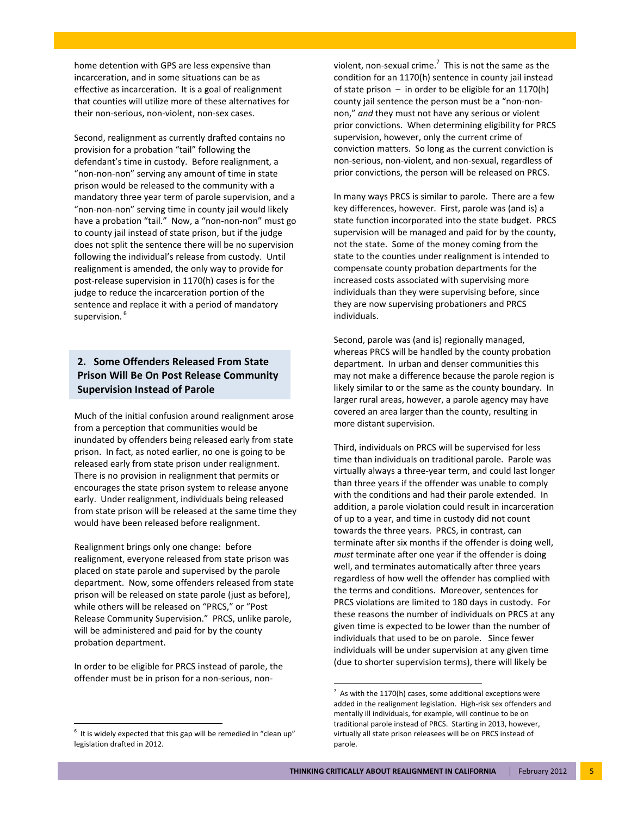home detention with GPS are less expensive than incarceration, and in some situations can be as effective as incarceration. It is a goal of realignment that counties will utilize more of these alternatives for their non‐serious, non‐violent, non‐sex cases.

Second, realignment as currently drafted contains no provision for a probation "tail" following the defendant's time in custody. Before realignment, a "non‐non‐non" serving any amount of time in state prison would be released to the community with a mandatory three year term of parole supervision, and a "non‐non‐non" serving time in county jail would likely have a probation "tail." Now, a "non-non-non" must go to county jail instead of state prison, but if the judge does not split the sentence there will be no supervision following the individual's release from custody. Until realignment is amended, the only way to provide for post-release supervision in 1170(h) cases is for the judge to reduce the incarceration portion of the sentence and replace it with a period of mandatory supervision.<sup>6</sup>

# **2. Some Offenders Released From State Prison Will Be On Post Release Community Supervision Instead of Parole**

Much of the initial confusion around realignment arose from a perception that communities would be inundated by offenders being released early from state prison. In fact, as noted earlier, no one is going to be released early from state prison under realignment. There is no provision in realignment that permits or encourages the state prison system to release anyone early. Under realignment, individuals being released from state prison will be released at the same time they would have been released before realignment.

Realignment brings only one change: before realignment, everyone released from state prison was placed on state parole and supervised by the parole department. Now, some offenders released from state prison will be released on state parole (just as before), while others will be released on "PRCS," or "Post Release Community Supervision." PRCS, unlike parole, will be administered and paid for by the county probation department.

In order to be eligible for PRCS instead of parole, the offender must be in prison for a non‐serious, non‐

violent, non-sexual crime.<sup>7</sup> This is not the same as the condition for an 1170(h) sentence in county jail instead of state prison  $-$  in order to be eligible for an 1170(h) county jail sentence the person must be a "non‐non‐ non," *and* they must not have any serious or violent prior convictions. When determining eligibility for PRCS supervision, however, only the current crime of conviction matters. So long as the current conviction is non‐serious, non‐violent, and non‐sexual, regardless of prior convictions, the person will be released on PRCS.

In many ways PRCS is similar to parole. There are a few key differences, however. First, parole was (and is) a state function incorporated into the state budget. PRCS supervision will be managed and paid for by the county, not the state. Some of the money coming from the state to the counties under realignment is intended to compensate county probation departments for the increased costs associated with supervising more individuals than they were supervising before, since they are now supervising probationers and PRCS individuals.

Second, parole was (and is) regionally managed, whereas PRCS will be handled by the county probation department. In urban and denser communities this may not make a difference because the parole region is likely similar to or the same as the county boundary. In larger rural areas, however, a parole agency may have covered an area larger than the county, resulting in more distant supervision.

Third, individuals on PRCS will be supervised for less time than individuals on traditional parole. Parole was virtually always a three‐year term, and could last longer than three years if the offender was unable to comply with the conditions and had their parole extended. In addition, a parole violation could result in incarceration of up to a year, and time in custody did not count towards the three years. PRCS, in contrast, can terminate after six months if the offender is doing well, *must* terminate after one year if the offender is doing well, and terminates automatically after three years regardless of how well the offender has complied with the terms and conditions. Moreover, sentences for PRCS violations are limited to 180 days in custody. For these reasons the number of individuals on PRCS at any given time is expected to be lower than the number of individuals that used to be on parole. Since fewer individuals will be under supervision at any given time (due to shorter supervision terms), there will likely be

<sup>6</sup> It is widely expected that this gap will be remedied in "clean up" legislation drafted in 2012.

<sup>7</sup> As with the 1170(h) cases, some additional exceptions were added in the realignment legislation. High‐risk sex offenders and mentally ill individuals, for example, will continue to be on traditional parole instead of PRCS. Starting in 2013, however, virtually all state prison releasees will be on PRCS instead of parole.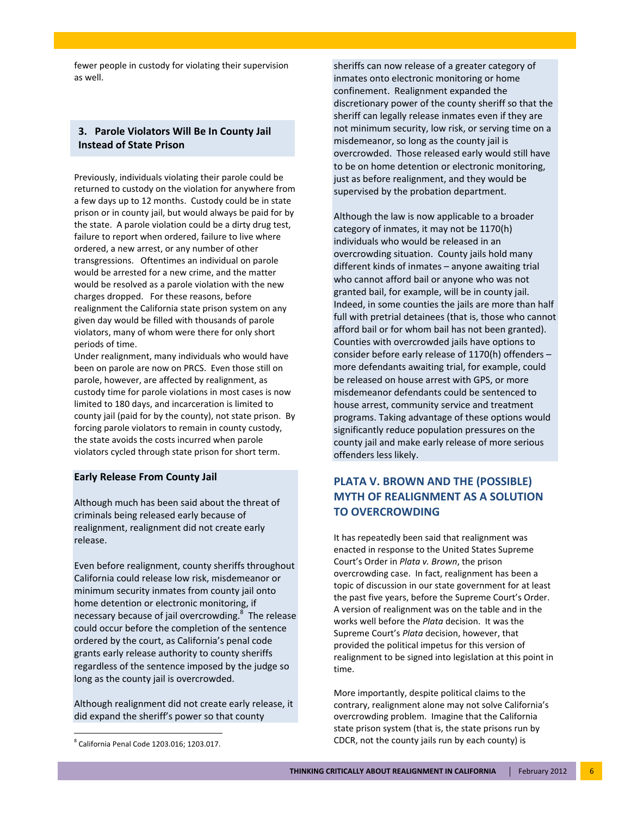fewer people in custody for violating their supervision as well.

### **3. Parole Violators Will Be In County Jail Instead of State Prison**

Previously, individuals violating their parole could be returned to custody on the violation for anywhere from a few days up to 12 months. Custody could be in state prison or in county jail, but would always be paid for by the state. A parole violation could be a dirty drug test, failure to report when ordered, failure to live where ordered, a new arrest, or any number of other transgressions. Oftentimes an individual on parole would be arrested for a new crime, and the matter would be resolved as a parole violation with the new charges dropped. For these reasons, before realignment the California state prison system on any given day would be filled with thousands of parole violators, many of whom were there for only short periods of time.

Under realignment, many individuals who would have been on parole are now on PRCS. Even those still on parole, however, are affected by realignment, as custody time for parole violations in most cases is now limited to 180 days, and incarceration is limited to county jail (paid for by the county), not state prison. By forcing parole violators to remain in county custody, the state avoids the costs incurred when parole violators cycled through state prison for short term.

#### **Early Release From County Jail**

Although much has been said about the threat of criminals being released early because of realignment, realignment did not create early release.

Even before realignment, county sheriffs throughout California could release low risk, misdemeanor or minimum security inmates from county jail onto home detention or electronic monitoring, if necessary because of jail overcrowding. $8$  The release could occur before the completion of the sentence ordered by the court, as California's penal code grants early release authority to county sheriffs regardless of the sentence imposed by the judge so long as the county jail is overcrowded.

Although realignment did not create early release, it did expand the sheriff's power so that county

sheriffs can now release of a greater category of inmates onto electronic monitoring or home confinement. Realignment expanded the discretionary power of the county sheriff so that the sheriff can legally release inmates even if they are not minimum security, low risk, or serving time on a misdemeanor, so long as the county jail is overcrowded. Those released early would still have to be on home detention or electronic monitoring, just as before realignment, and they would be supervised by the probation department.

Although the law is now applicable to a broader category of inmates, it may not be 1170(h) individuals who would be released in an overcrowding situation. County jails hold many different kinds of inmates – anyone awaiting trial who cannot afford bail or anyone who was not granted bail, for example, will be in county jail. Indeed, in some counties the jails are more than half full with pretrial detainees (that is, those who cannot afford bail or for whom bail has not been granted). Counties with overcrowded jails have options to consider before early release of 1170(h) offenders – more defendants awaiting trial, for example, could be released on house arrest with GPS, or more misdemeanor defendants could be sentenced to house arrest, community service and treatment programs. Taking advantage of these options would significantly reduce population pressures on the county jail and make early release of more serious offenders less likely.

# **PLATA V. BROWN AND THE (POSSIBLE) MYTH OF REALIGNMENT AS A SOLUTION TO OVERCROWDING**

It has repeatedly been said that realignment was enacted in response to the United States Supreme Court's Order in *Plata v. Brown*, the prison overcrowding case. In fact, realignment has been a topic of discussion in our state government for at least the past five years, before the Supreme Court's Order. A version of realignment was on the table and in the works well before the *Plata* decision. It was the Supreme Court's *Plata* decision, however, that provided the political impetus for this version of realignment to be signed into legislation at this point in time.

More importantly, despite political claims to the contrary, realignment alone may not solve California's overcrowding problem. Imagine that the California state prison system (that is, the state prisons run by CDCR, not the county jails run by each county) is

 <sup>8</sup> California Penal Code 1203.016; 1203.017.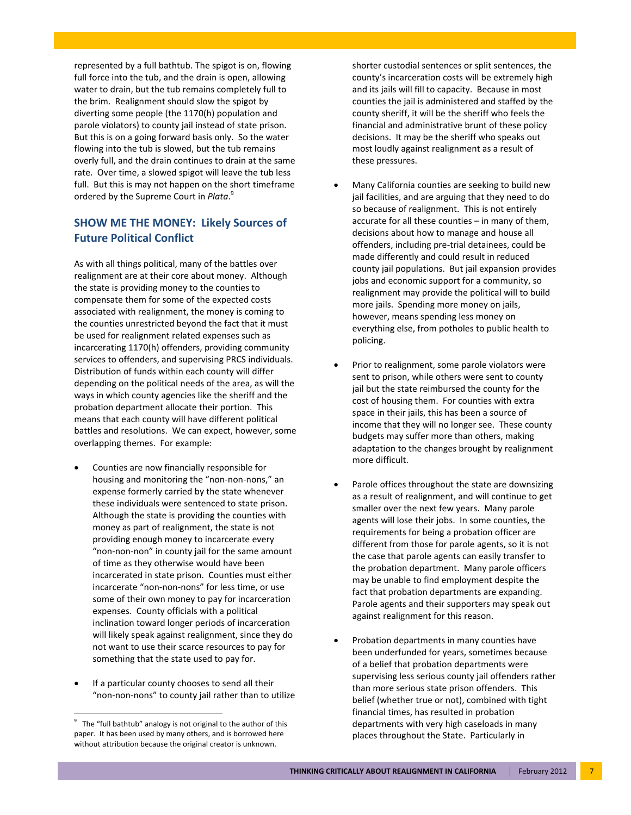represented by a full bathtub. The spigot is on, flowing full force into the tub, and the drain is open, allowing water to drain, but the tub remains completely full to the brim. Realignment should slow the spigot by diverting some people (the 1170(h) population and parole violators) to county jail instead of state prison. But this is on a going forward basis only. So the water flowing into the tub is slowed, but the tub remains overly full, and the drain continues to drain at the same rate. Over time, a slowed spigot will leave the tub less full. But this is may not happen on the short timeframe ordered by the Supreme Court in *Plata*. 9

## **SHOW ME THE MONEY: Likely Sources of Future Political Conflict**

As with all things political, many of the battles over realignment are at their core about money. Although the state is providing money to the counties to compensate them for some of the expected costs associated with realignment, the money is coming to the counties unrestricted beyond the fact that it must be used for realignment related expenses such as incarcerating 1170(h) offenders, providing community services to offenders, and supervising PRCS individuals. Distribution of funds within each county will differ depending on the political needs of the area, as will the ways in which county agencies like the sheriff and the probation department allocate their portion. This means that each county will have different political battles and resolutions. We can expect, however, some overlapping themes. For example:

- Counties are now financially responsible for housing and monitoring the "non-non-nons," an expense formerly carried by the state whenever these individuals were sentenced to state prison. Although the state is providing the counties with money as part of realignment, the state is not providing enough money to incarcerate every "non‐non‐non" in county jail for the same amount of time as they otherwise would have been incarcerated in state prison. Counties must either incarcerate "non‐non‐nons" for less time, or use some of their own money to pay for incarceration expenses. County officials with a political inclination toward longer periods of incarceration will likely speak against realignment, since they do not want to use their scarce resources to pay for something that the state used to pay for.
- If a particular county chooses to send all their "non‐non‐nons" to county jail rather than to utilize

shorter custodial sentences or split sentences, the county's incarceration costs will be extremely high and its jails will fill to capacity. Because in most counties the jail is administered and staffed by the county sheriff, it will be the sheriff who feels the financial and administrative brunt of these policy decisions. It may be the sheriff who speaks out most loudly against realignment as a result of these pressures.

- Many California counties are seeking to build new jail facilities, and are arguing that they need to do so because of realignment. This is not entirely accurate for all these counties – in many of them, decisions about how to manage and house all offenders, including pre‐trial detainees, could be made differently and could result in reduced county jail populations. But jail expansion provides jobs and economic support for a community, so realignment may provide the political will to build more jails. Spending more money on jails, however, means spending less money on everything else, from potholes to public health to policing.
- Prior to realignment, some parole violators were sent to prison, while others were sent to county jail but the state reimbursed the county for the cost of housing them. For counties with extra space in their jails, this has been a source of income that they will no longer see. These county budgets may suffer more than others, making adaptation to the changes brought by realignment more difficult.
- Parole offices throughout the state are downsizing as a result of realignment, and will continue to get smaller over the next few years. Many parole agents will lose their jobs. In some counties, the requirements for being a probation officer are different from those for parole agents, so it is not the case that parole agents can easily transfer to the probation department. Many parole officers may be unable to find employment despite the fact that probation departments are expanding. Parole agents and their supporters may speak out against realignment for this reason.
- Probation departments in many counties have been underfunded for years, sometimes because of a belief that probation departments were supervising less serious county jail offenders rather than more serious state prison offenders. This belief (whether true or not), combined with tight financial times, has resulted in probation departments with very high caseloads in many places throughout the State. Particularly in

<sup>9</sup> The "full bathtub" analogy is not original to the author of this paper. It has been used by many others, and is borrowed here without attribution because the original creator is unknown.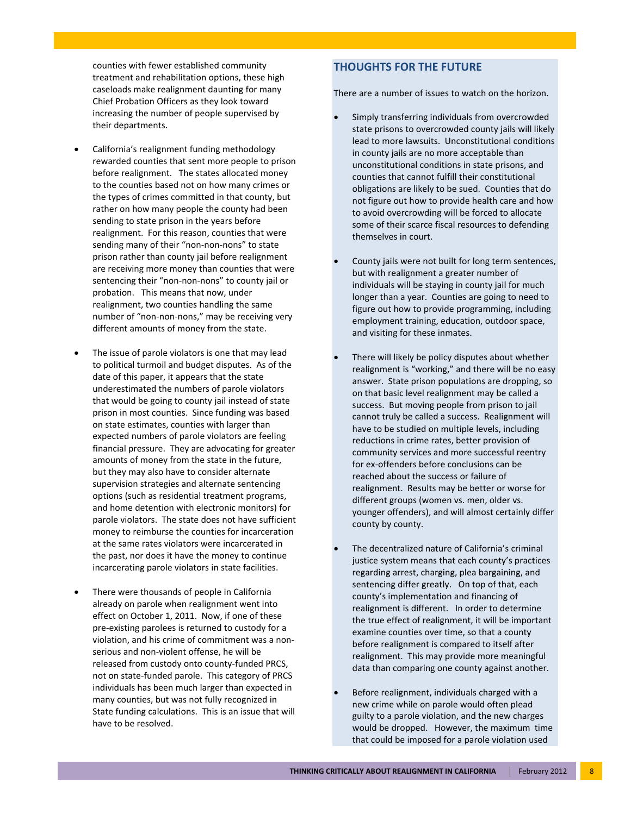counties with fewer established community treatment and rehabilitation options, these high caseloads make realignment daunting for many Chief Probation Officers as they look toward increasing the number of people supervised by their departments.

- California's realignment funding methodology rewarded counties that sent more people to prison before realignment. The states allocated money to the counties based not on how many crimes or the types of crimes committed in that county, but rather on how many people the county had been sending to state prison in the years before realignment. For this reason, counties that were sending many of their "non-non-nons" to state prison rather than county jail before realignment are receiving more money than counties that were sentencing their "non‐non‐nons" to county jail or probation. This means that now, under realignment, two counties handling the same number of "non‐non‐nons," may be receiving very different amounts of money from the state.
- The issue of parole violators is one that may lead to political turmoil and budget disputes. As of the date of this paper, it appears that the state underestimated the numbers of parole violators that would be going to county jail instead of state prison in most counties. Since funding was based on state estimates, counties with larger than expected numbers of parole violators are feeling financial pressure. They are advocating for greater amounts of money from the state in the future, but they may also have to consider alternate supervision strategies and alternate sentencing options (such as residential treatment programs, and home detention with electronic monitors) for parole violators. The state does not have sufficient money to reimburse the counties for incarceration at the same rates violators were incarcerated in the past, nor does it have the money to continue incarcerating parole violators in state facilities.
- There were thousands of people in California already on parole when realignment went into effect on October 1, 2011. Now, if one of these pre‐existing parolees is returned to custody for a violation, and his crime of commitment was a non‐ serious and non‐violent offense, he will be released from custody onto county‐funded PRCS, not on state‐funded parole. This category of PRCS individuals has been much larger than expected in many counties, but was not fully recognized in State funding calculations. This is an issue that will have to be resolved.

## **THOUGHTS FOR THE FUTURE**

There are a number of issues to watch on the horizon.

- Simply transferring individuals from overcrowded state prisons to overcrowded county jails will likely lead to more lawsuits. Unconstitutional conditions in county jails are no more acceptable than unconstitutional conditions in state prisons, and counties that cannot fulfill their constitutional obligations are likely to be sued. Counties that do not figure out how to provide health care and how to avoid overcrowding will be forced to allocate some of their scarce fiscal resources to defending themselves in court.
- County jails were not built for long term sentences, but with realignment a greater number of individuals will be staying in county jail for much longer than a year. Counties are going to need to figure out how to provide programming, including employment training, education, outdoor space, and visiting for these inmates.
- There will likely be policy disputes about whether realignment is "working," and there will be no easy answer. State prison populations are dropping, so on that basic level realignment may be called a success. But moving people from prison to jail cannot truly be called a success. Realignment will have to be studied on multiple levels, including reductions in crime rates, better provision of community services and more successful reentry for ex‐offenders before conclusions can be reached about the success or failure of realignment. Results may be better or worse for different groups (women vs. men, older vs. younger offenders), and will almost certainly differ county by county.
- The decentralized nature of California's criminal justice system means that each county's practices regarding arrest, charging, plea bargaining, and sentencing differ greatly. On top of that, each county's implementation and financing of realignment is different. In order to determine the true effect of realignment, it will be important examine counties over time, so that a county before realignment is compared to itself after realignment. This may provide more meaningful data than comparing one county against another.
- Before realignment, individuals charged with a new crime while on parole would often plead guilty to a parole violation, and the new charges would be dropped. However, the maximum time that could be imposed for a parole violation used